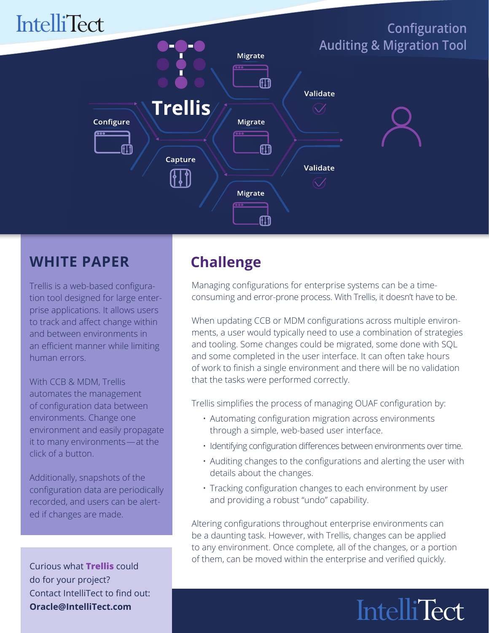

#### **WHITE PAPER**

Trellis is a web-based configuration tool designed for large enterprise applications. It allows users to track and affect change within and between environments in an efficient manner while limiting human errors.

With CCB & MDM, Trellis automates the management of configuration data between environments. Change one environment and easily propagate it to many environments—at the click of a button.

Additionally, snapshots of the configuration data are periodically recorded, and users can be alerted if changes are made.

Curious what **Trellis** could do for your project? Contact IntelliTect to find out: **Oracle@IntelliTect.com**

#### **Challenge**

Managing configurations for enterprise systems can be a timeconsuming and error-prone process. With Trellis, it doesn't have to be.

When updating CCB or MDM configurations across multiple environments, a user would typically need to use a combination of strategies and tooling. Some changes could be migrated, some done with SQL and some completed in the user interface. It can often take hours of work to finish a single environment and there will be no validation that the tasks were performed correctly.

Trellis simplifies the process of managing OUAF configuration by:

- Automating configuration migration across environments through a simple, web-based user interface.
- Identifying configuration differences between environments over time.
- Auditing changes to the configurations and alerting the user with details about the changes.
- Tracking configuration changes to each environment by user and providing a robust "undo" capability.

Altering configurations throughout enterprise environments can be a daunting task. However, with Trellis, changes can be applied to any environment. Once complete, all of the changes, or a portion of them, can be moved within the enterprise and verified quickly.

# **IntelliTect**